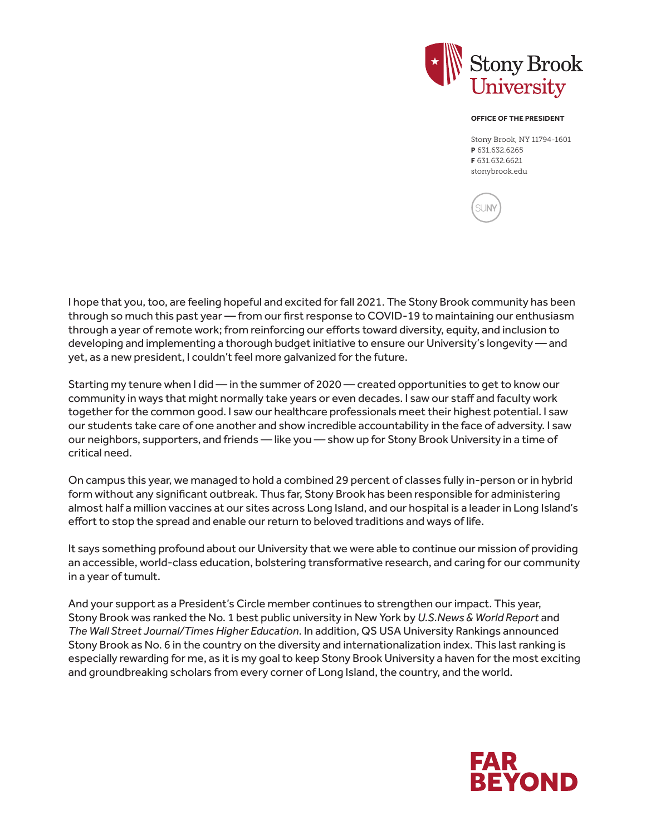

## **OFFICE OF THE PRESIDENT**

Stony Brook, NY 11794-1601 **P** 631.632.6265 **F** 631.632.6621 stonybrook.edu

**SUN** 

I hope that you, too, are feeling hopeful and excited for fall 2021. The Stony Brook community has been through so much this past year — from our first response to COVID-19 to maintaining our enthusiasm through a year of remote work; from reinforcing our efforts toward diversity, equity, and inclusion to developing and implementing a thorough budget initiative to ensure our University's longevity — and yet, as a new president, I couldn't feel more galvanized for the future.

Starting my tenure when I did — in the summer of 2020 — created opportunities to get to know our community in ways that might normally take years or even decades. I saw our staff and faculty work together for the common good. I saw our healthcare professionals meet their highest potential. I saw our students take care of one another and show incredible accountability in the face of adversity. I saw our neighbors, supporters, and friends — like you — show up for Stony Brook University in a time of critical need.

On campus this year, we managed to hold a combined 29 percent of classes fully in-person or in hybrid form without any significant outbreak. Thus far, Stony Brook has been responsible for administering almost half a million vaccines at our sites across Long Island, and our hospital is a leader in Long Island's effort to stop the spread and enable our return to beloved traditions and ways of life.

It says something profound about our University that we were able to continue our mission of providing an accessible, world-class education, bolstering transformative research, and caring for our community in a year of tumult.

And your support as a President's Circle member continues to strengthen our impact. This year, Stony Brook was ranked the No. 1 best public university in New York by *U.S.News & World Report* and *The Wall Street Journal/Times Higher Education*. In addition, QS USA University Rankings announced Stony Brook as No. 6 in the country on the diversity and internationalization index. This last ranking is especially rewarding for me, as it is my goal to keep Stony Brook University a haven for the most exciting and groundbreaking scholars from every corner of Long Island, the country, and the world.

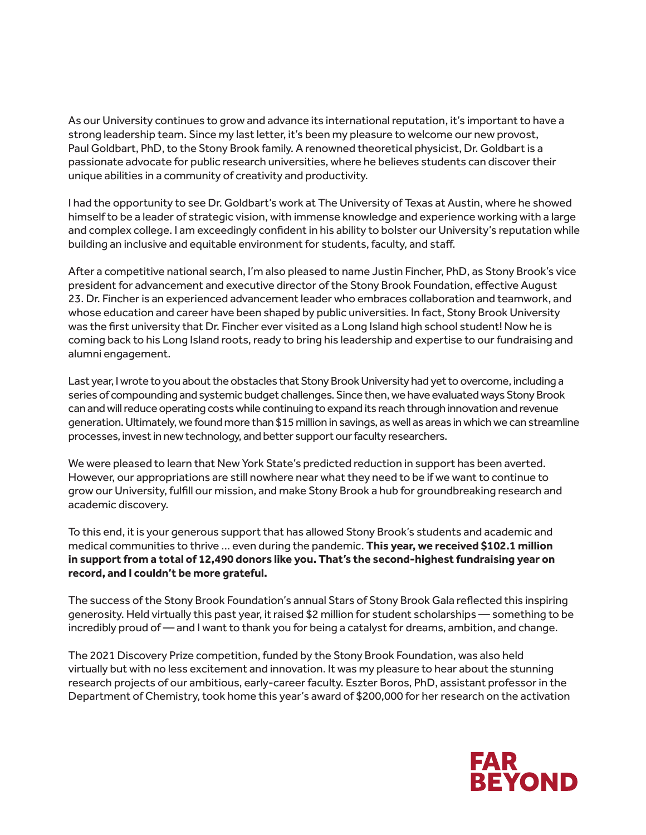As our University continues to grow and advance its international reputation, it's important to have a strong leadership team. Since my last letter, it's been my pleasure to welcome our new provost, Paul Goldbart, PhD, to the Stony Brook family. A renowned theoretical physicist, Dr. Goldbart is a passionate advocate for public research universities, where he believes students can discover their unique abilities in a community of creativity and productivity.

I had the opportunity to see Dr. Goldbart's work at The University of Texas at Austin, where he showed himself to be a leader of strategic vision, with immense knowledge and experience working with a large and complex college. I am exceedingly confident in his ability to bolster our University's reputation while building an inclusive and equitable environment for students, faculty, and staff.

After a competitive national search, I'm also pleased to name Justin Fincher, PhD, as Stony Brook's vice president for advancement and executive director of the Stony Brook Foundation, effective August 23. Dr. Fincher is an experienced advancement leader who embraces collaboration and teamwork, and whose education and career have been shaped by public universities. In fact, Stony Brook University was the first university that Dr. Fincher ever visited as a Long Island high school student! Now he is coming back to his Long Island roots, ready to bring his leadership and expertise to our fundraising and alumni engagement.

Last year, I wrote to you about the obstacles that Stony Brook University had yet to overcome, including a series of compounding and systemic budget challenges. Since then, we have evaluated ways Stony Brook can and will reduce operating costs while continuing to expand its reach through innovation and revenue generation. Ultimately, we found more than \$15 million in savings, as well as areas in which we can streamline processes, invest in new technology, and better support our faculty researchers.

We were pleased to learn that New York State's predicted reduction in support has been averted. However, our appropriations are still nowhere near what they need to be if we want to continue to grow our University, fulfill our mission, and make Stony Brook a hub for groundbreaking research and academic discovery.

To this end, it is your generous support that has allowed Stony Brook's students and academic and medical communities to thrive … even during the pandemic. **This year, we received \$102.1 million in support from a total of 12,490 donors like you. That's the second-highest fundraising year on record, and I couldn't be more grateful.** 

The success of the Stony Brook Foundation's annual Stars of Stony Brook Gala reflected this inspiring generosity. Held virtually this past year, it raised \$2 million for student scholarships — something to be incredibly proud of — and I want to thank you for being a catalyst for dreams, ambition, and change.

The 2021 Discovery Prize competition, funded by the Stony Brook Foundation, was also held virtually but with no less excitement and innovation. It was my pleasure to hear about the stunning research projects of our ambitious, early-career faculty. Eszter Boros, PhD, assistant professor in the Department of Chemistry, took home this year's award of \$200,000 for her research on the activation